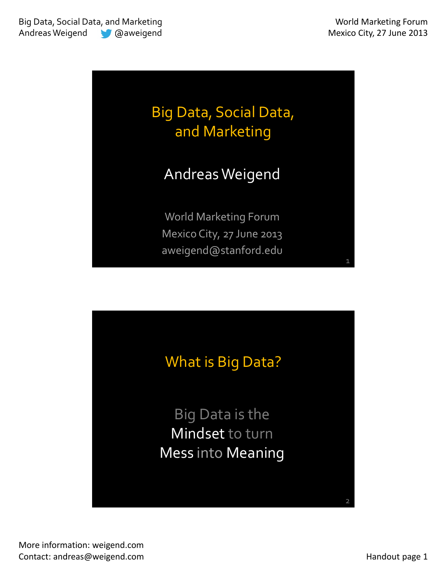



More information: weigend.com Contact: andreas@weigend.com example and a set of the example of the Handout page 1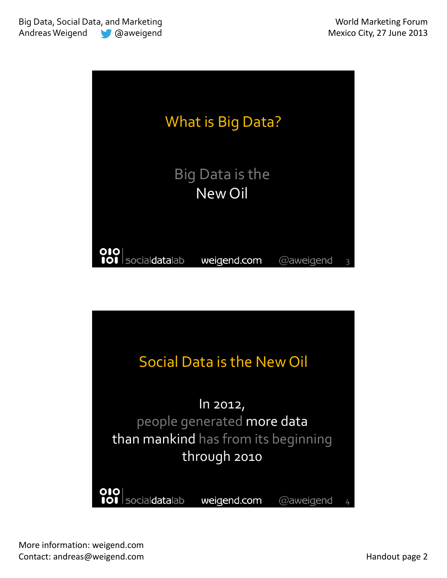

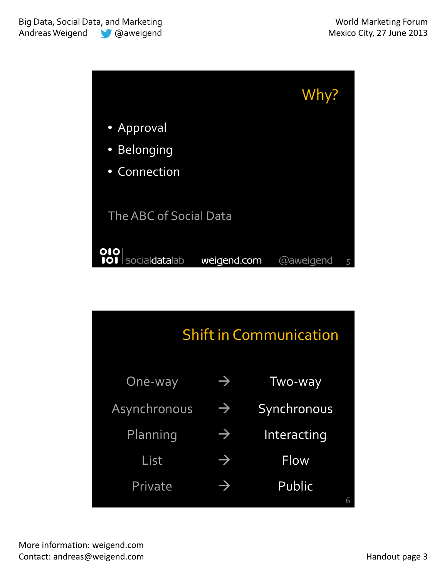

| <b>Shift in Communication</b> |             |  |  |
|-------------------------------|-------------|--|--|
| $\rightarrow$                 | Two-way     |  |  |
| $\rightarrow$                 | Synchronous |  |  |
| $\rightarrow$                 | Interacting |  |  |
| $\rightarrow$                 | Flow        |  |  |
| $\Rightarrow$                 | Public<br>6 |  |  |
|                               |             |  |  |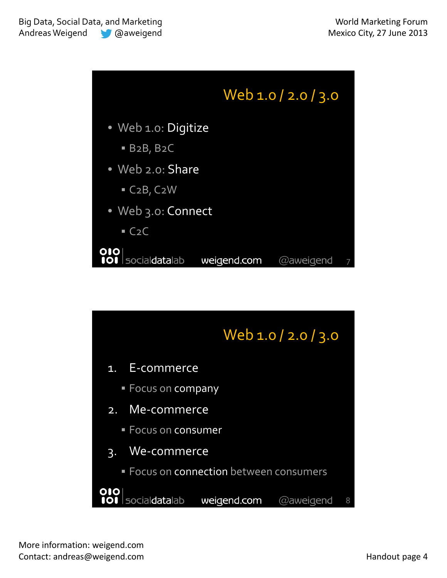

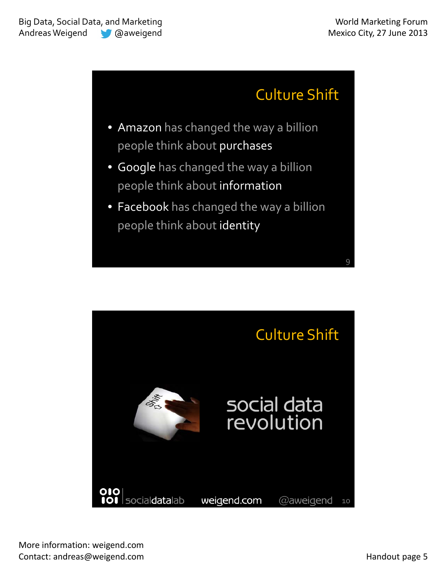9

## Culture Shift

- Amazon has changed the way a billion people think about purchases
- Google has changed the way a billion people think about information
- Facebook has changed the way a billion people think about identity

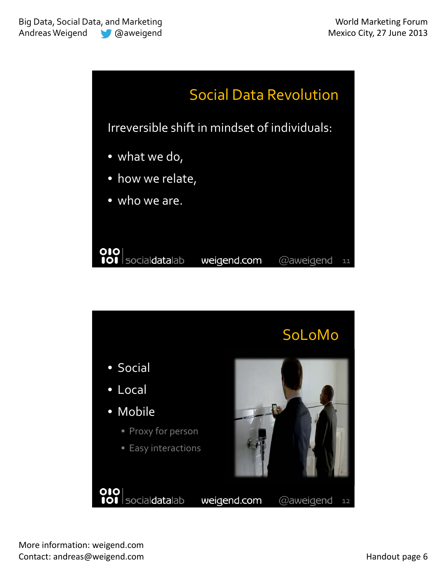



More information: weigend.com Contact: andreas@weigend.com example and a set of the example of the Handout page 6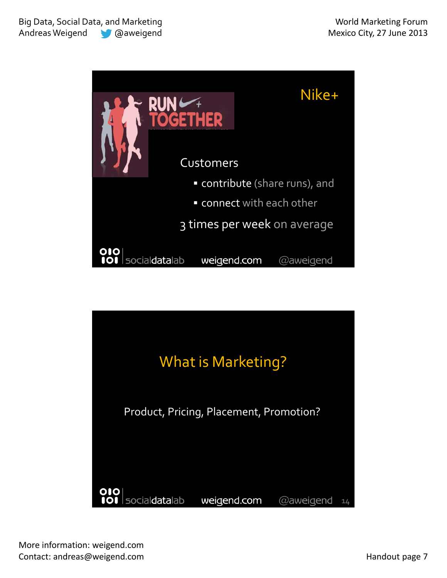

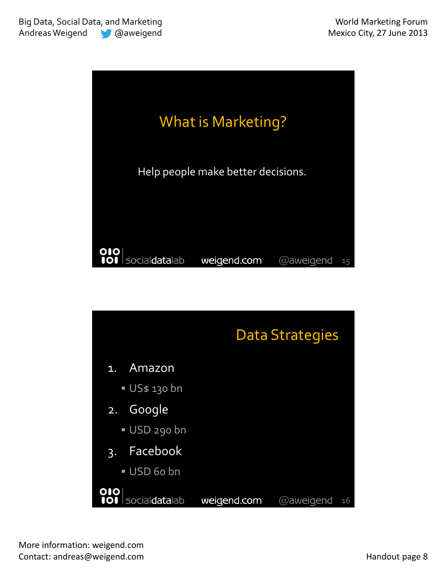

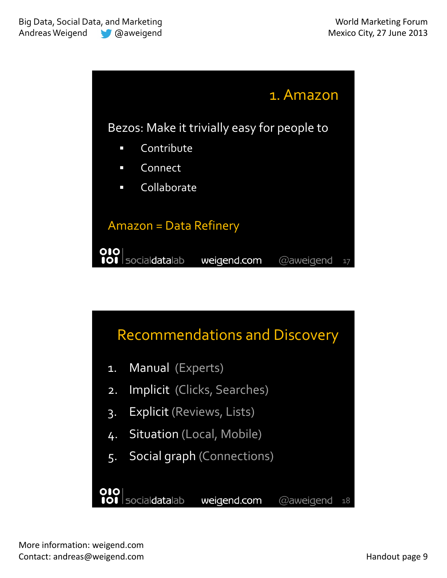

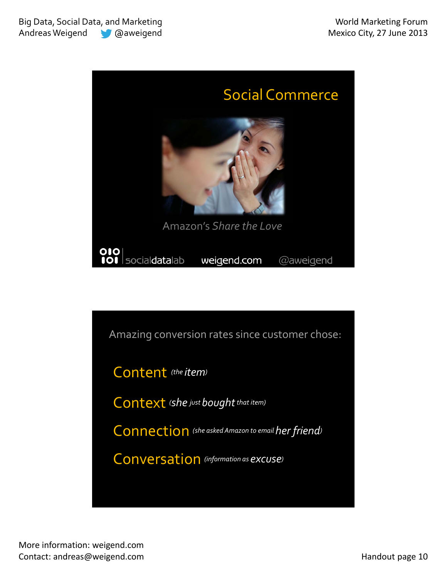

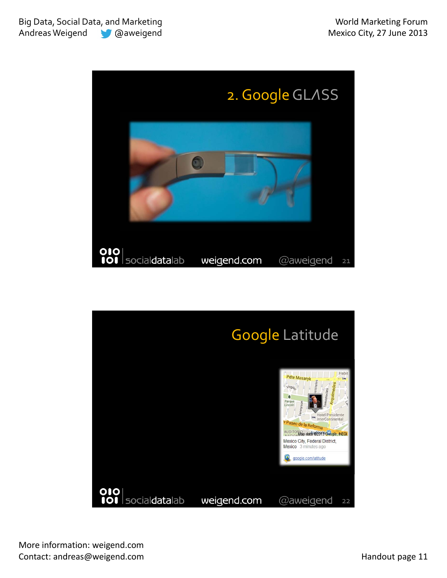

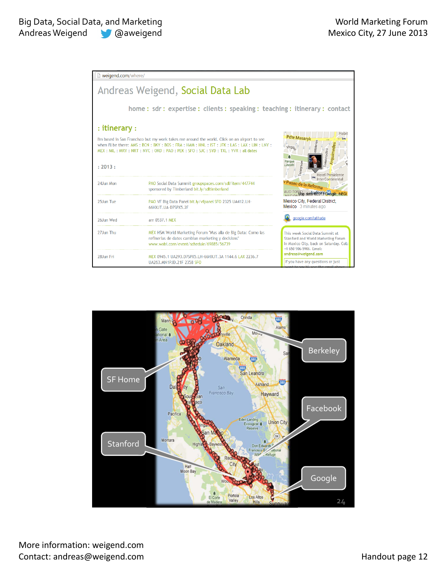| weigend.com/where/                                                                                                                                                                                                                                                                             |                                                                                                                                                                |                                                                                                                                                                    |
|------------------------------------------------------------------------------------------------------------------------------------------------------------------------------------------------------------------------------------------------------------------------------------------------|----------------------------------------------------------------------------------------------------------------------------------------------------------------|--------------------------------------------------------------------------------------------------------------------------------------------------------------------|
|                                                                                                                                                                                                                                                                                                | Andreas Weigend, Social Data Lab                                                                                                                               |                                                                                                                                                                    |
|                                                                                                                                                                                                                                                                                                | home: sdr: expertise: clients: speaking: teaching: itinerary: contact                                                                                          |                                                                                                                                                                    |
| : itinerary :<br>I'm based in San Francisco but my work takes me around the world. Click on an airport to see<br>when I'll be there: AMS: BCN: BKY: BOS: FRA: HAM: HNL: IST: JFK: LAS: LAX: LIN: LNY:<br>MEX: MIL: MRY: NRT: NYC: ORD: PAO: PEK: SFO: SJC: SYD: TXL: YVR: all dates<br>: 2013: |                                                                                                                                                                | labil<br><b>Pdte Masaryk</b><br>Tennyson<br>ncoln                                                                                                                  |
| 24.Jun Mon                                                                                                                                                                                                                                                                                     | PAO Social Data Summit groupspaces.com/sdl/item/447744<br>sponsored by Timberland bit.ly/sdltimberland                                                         | Hotel Presidente<br>InterContinental<br>Paseo de la Reforma<br>AUDITOR Map data @2019 Geogle, INEGI                                                                |
| 25Jun Tue                                                                                                                                                                                                                                                                                      | PAO VF Big Data Panel bit.ly/vfpanel SFO 2325 UA412.LH-<br>66HXJT.UA-D7SPX5.2F                                                                                 | Mexico City, Federal District,<br>Mexico 3 minutes ago                                                                                                             |
| 26Jun Wed                                                                                                                                                                                                                                                                                      | arr 0537.1 MEX                                                                                                                                                 | google.com/latitude                                                                                                                                                |
| 27.Jun Thu                                                                                                                                                                                                                                                                                     | MEX HSM World Marketing Forum "Mas alla de Big Data: Como las<br>refinerias de datos cambian marketing y decisions"<br>www.wobi.com/event/schedule/69885/56739 | This week Social Data Summit at<br>Stanford and World Marketing Forum<br>in Mexico City, back on Saturday. Cell:<br>+1 650 906-5906. Email:<br>andreas@weigend.com |
| 28Jun Fri                                                                                                                                                                                                                                                                                      | MEX 0945.1 UA293.D7SPX5.LH-66HXJT.3A 1144.6 LAX 2236.7<br>UA263.MN1PJD.21F 2358 SFO                                                                            | If you have any questions or just                                                                                                                                  |



More information: weigend.com Contact: andreas@weigend.com example and the contact: andreas@weigend.com handout page 12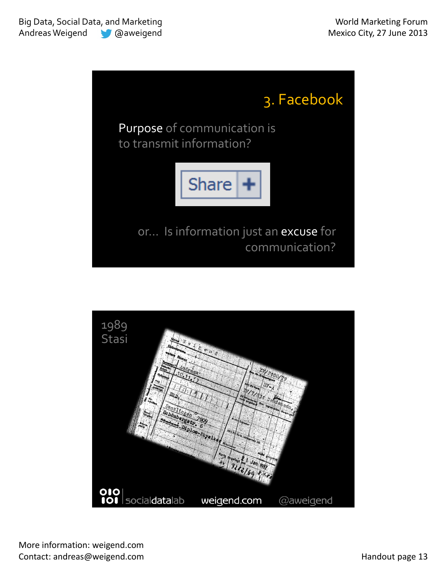

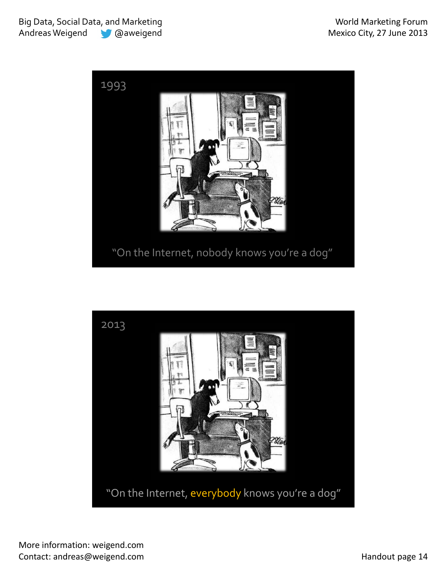

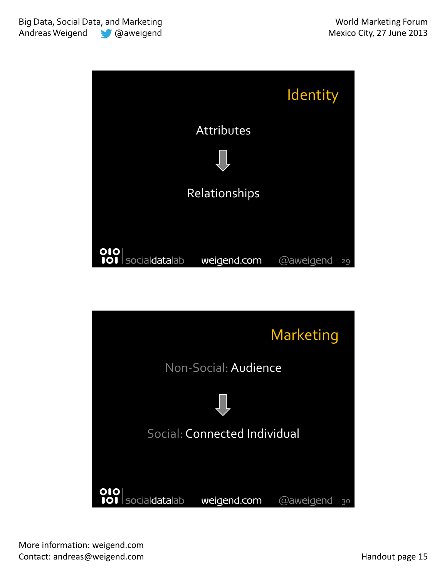

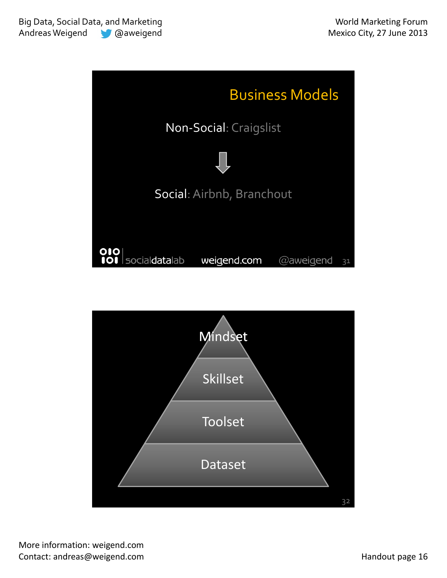

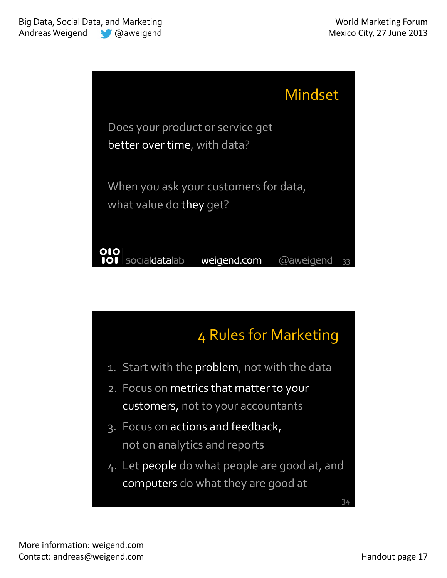

## 4 Rules for Marketing

- 1. Start with the problem, not with the data
- 2. Focus on metrics that matter to your customers, not to your accountants
- 3. Focus on actions and feedback, not on analytics and reports
- 4. Let people do what people are good at, and computers do what they are good at